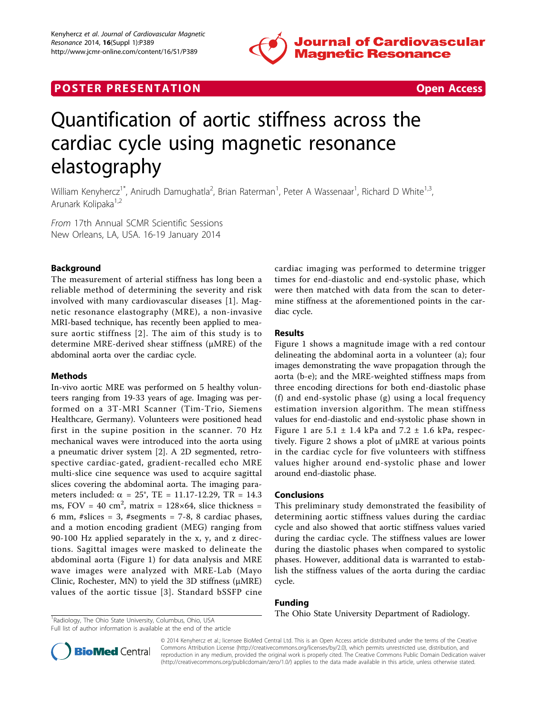

## **POSTER PRESENTATION CONSUMING THE SECOND CONSUMING THE SECOND CONSUMING THE SECOND CONSUMING THE SECOND CONSUMING THE SECOND CONSUMING THE SECOND CONSUMING THE SECOND CONSUMING THE SECOND CONSUMING THE SECOND CONSUMING**



# Quantification of aortic stiffness across the cardiac cycle using magnetic resonance elastography

William Kenyhercz<sup>1\*</sup>, Anirudh Damughatla<sup>2</sup>, Brian Raterman<sup>1</sup>, Peter A Wassenaar<sup>1</sup>, Richard D White<sup>1,3</sup>, Arunark Kolipaka<sup>1,2</sup>

From 17th Annual SCMR Scientific Sessions New Orleans, LA, USA. 16-19 January 2014

## Background

The measurement of arterial stiffness has long been a reliable method of determining the severity and risk involved with many cardiovascular diseases [\[1\]](#page-1-0). Magnetic resonance elastography (MRE), a non-invasive MRI-based technique, has recently been applied to measure aortic stiffness [[2\]](#page-1-0). The aim of this study is to determine MRE-derived shear stiffness (μMRE) of the abdominal aorta over the cardiac cycle.

#### Methods

In-vivo aortic MRE was performed on 5 healthy volunteers ranging from 19-33 years of age. Imaging was performed on a 3T-MRI Scanner (Tim-Trio, Siemens Healthcare, Germany). Volunteers were positioned head first in the supine position in the scanner. 70 Hz mechanical waves were introduced into the aorta using a pneumatic driver system [[2\]](#page-1-0). A 2D segmented, retrospective cardiac-gated, gradient-recalled echo MRE multi-slice cine sequence was used to acquire sagittal slices covering the abdominal aorta. The imaging parameters included:  $\alpha = 25^{\circ}$ , TE = 11.17-12.29, TR = 14.3 ms, FOV = 40  $\text{cm}^2$ , matrix = 128×64, slice thickness = 6 mm,  $#slices = 3$ ,  $#segments = 7-8$ , 8 cardiac phases, and a motion encoding gradient (MEG) ranging from 90-100 Hz applied separately in the x, y, and z directions. Sagittal images were masked to delineate the abdominal aorta (Figure [1](#page-1-0)) for data analysis and MRE wave images were analyzed with MRE-Lab (Mayo Clinic, Rochester, MN) to yield the 3D stiffness (μMRE) values of the aortic tissue [[3\]](#page-1-0). Standard bSSFP cine

cardiac imaging was performed to determine trigger times for end-diastolic and end-systolic phase, which were then matched with data from the scan to determine stiffness at the aforementioned points in the cardiac cycle.

## Results

Figure [1](#page-1-0) shows a magnitude image with a red contour delineating the abdominal aorta in a volunteer (a); four images demonstrating the wave propagation through the aorta (b-e); and the MRE-weighted stiffness maps from three encoding directions for both end-diastolic phase (f) and end-systolic phase (g) using a local frequency estimation inversion algorithm. The mean stiffness values for end-diastolic and end-systolic phase shown in Figure [1](#page-1-0) are  $5.1 \pm 1.4$  kPa and  $7.2 \pm 1.6$  kPa, respectively. Figure [2](#page-1-0) shows a plot of μMRE at various points in the cardiac cycle for five volunteers with stiffness values higher around end-systolic phase and lower around end-diastolic phase.

## Conclusions

This preliminary study demonstrated the feasibility of determining aortic stiffness values during the cardiac cycle and also showed that aortic stiffness values varied during the cardiac cycle. The stiffness values are lower during the diastolic phases when compared to systolic phases. However, additional data is warranted to establish the stiffness values of the aorta during the cardiac cycle.

## Funding

The Ohio State University Department of Radiology.

<sup>1</sup>Radiology, The Ohio State University, Columbus, Ohio, USA Full list of author information is available at the end of the article



© 2014 Kenyhercz et al.; licensee BioMed Central Ltd. This is an Open Access article distributed under the terms of the Creative Commons Attribution License [\(http://creativecommons.org/licenses/by/2.0](http://creativecommons.org/licenses/by/2.0)), which permits unrestricted use, distribution, and reproduction in any medium, provided the original work is properly cited. The Creative Commons Public Domain Dedication waiver [\(http://creativecommons.org/publicdomain/zero/1.0/](http://creativecommons.org/publicdomain/zero/1.0/)) applies to the data made available in this article, unless otherwise stated.